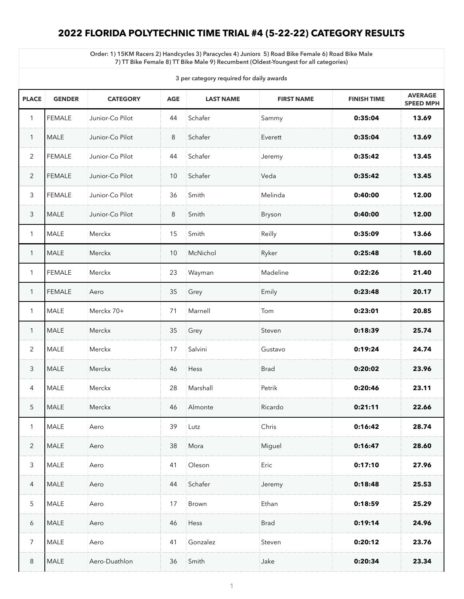# **2022 FLORIDA POLYTECHNIC TIME TRIAL #4 (5-22-22) CATEGORY RESULTS**

**Order: 1) 15KM Racers 2) Handcycles 3) Paracycles 4) Juniors 5) Road Bike Female 6) Road Bike Male 7) TT Bike Female 8) TT Bike Male 9) Recumbent (Oldest-Youngest for all categories)**

**3 per category required for daily awards**

| <b>PLACE</b>   | <b>GENDER</b> | <b>CATEGORY</b> | <b>AGE</b>      | <b>LAST NAME</b> | <b>FIRST NAME</b> | <b>FINISH TIME</b> | <b>AVERAGE</b><br><b>SPEED MPH</b> |
|----------------|---------------|-----------------|-----------------|------------------|-------------------|--------------------|------------------------------------|
|                | <b>FEMALE</b> | Junior-Co Pilot | 44              | Schafer          | Sammy             | 0:35:04            | 13.69                              |
| $\mathbf 1$    | <b>MALE</b>   | Junior-Co Pilot | 8               | Schafer          | Everett           | 0:35:04            | 13.69                              |
| $\overline{2}$ | <b>FEMALE</b> | Junior-Co Pilot | 44              | Schafer          | Jeremy            | 0:35:42            | 13.45                              |
| 2              | <b>FEMALE</b> | Junior-Co Pilot | 10 <sup>°</sup> | Schafer          | Veda              | 0:35:42            | 13.45                              |
| $\mathfrak{Z}$ | <b>FEMALE</b> | Junior-Co Pilot | 36              | Smith            | Melinda           | 0:40:00            | 12.00                              |
| $\mathfrak{Z}$ | <b>MALE</b>   | Junior-Co Pilot | 8               | Smith            | <b>Bryson</b>     | 0:40:00            | 12.00                              |
|                | <b>MALE</b>   | <b>Merckx</b>   | 15              | Smith            | Reilly            | 0:35:09            | 13.66                              |
| $\mathbf 1$    | <b>MALE</b>   | <b>Merckx</b>   | 10              | McNichol         | Ryker             | 0:25:48            | 18.60                              |
|                | <b>FEMALE</b> | <b>Merckx</b>   | 23              | Wayman           | Madeline          | 0:22:26            | 21.40                              |
|                | <b>FEMALE</b> | Aero            | 35              | Grey             | Emily             | 0:23:48            | 20.17                              |
|                | <b>MALE</b>   | Merckx 70+      | 71              | Marnell          | Tom               | 0:23:01            | 20.85                              |
|                | <b>MALE</b>   | Merckx          | 35              | Grey             | Steven            | 0:18:39            | 25.74                              |
| $\overline{2}$ | <b>MALE</b>   | <b>Merckx</b>   | 17              | Salvini          | Gustavo           | 0:19:24            | 24.74                              |
| 3              | <b>MALE</b>   | Merckx          | 46              | Hess             | <b>Brad</b>       | 0:20:02            | 23.96                              |
| $\overline{4}$ | <b>MALE</b>   | Merckx          | 28              | Marshall         | Petrik            | 0:20:46            | 23.11                              |
| 5              | <b>MALE</b>   | <b>Merckx</b>   | 46              | Almonte          | Ricardo           | 0:21:11            | 22.66                              |
|                | <b>MALE</b>   | Aero            | 39              | Lutz             | Chris             | 0:16:42            | 28.74                              |
| $\overline{2}$ | <b>MALE</b>   | Aero            | 38              | Mora             | Miguel            | 0:16:47            | 28.60                              |
| $\mathfrak{Z}$ | <b>MALE</b>   | Aero            | 41              | Oleson           | Eric              | 0:17:10            | 27.96                              |
| 4              | <b>MALE</b>   | Aero            | 44              | Schafer          | Jeremy            | 0:18:48            | 25.53                              |
| 5              | <b>MALE</b>   | Aero            | 17              | Brown            | Ethan             | 0:18:59            | 25.29                              |
| 6              | <b>MALE</b>   | Aero            | 46              | Hess             | <b>Brad</b>       | 0:19:14            | 24.96                              |
| $\overline{7}$ | MALE          | Aero            | 41              | Gonzalez         | Steven            | 0:20:12            | 23.76                              |
| 8              | MALE          | Aero-Duathlon   | 36              | Smith            | Jake              | 0:20:34            | 23.34                              |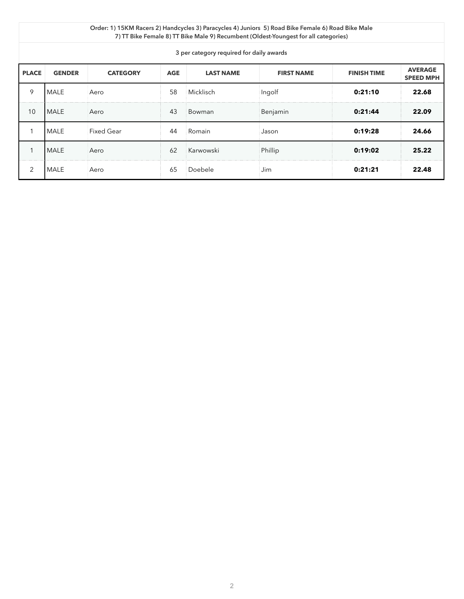| <b>PLACE</b> | <b>GENDER</b> | <b>CATEGORY</b>   | <b>AGE</b> | <b>LAST NAME</b> | <b>FIRST NAME</b> | <b>FINISH TIME</b> | <b>AVERAGE</b><br><b>SPEED MPH</b> |
|--------------|---------------|-------------------|------------|------------------|-------------------|--------------------|------------------------------------|
| 9            | <b>MALE</b>   | Aero              | 58         | Micklisch        | Ingolf            | 0:21:10            | 22.68                              |
| 10           | <b>MALE</b>   | Aero              | 43         | Bowman           | Benjamin          | 0:21:44            | 22.09                              |
|              | <b>IMALE</b>  | <b>Fixed Gear</b> | 44         | Romain           | Jason             | 0:19:28            | 24.66                              |
|              | <b>MALE</b>   | Aero              | 62         | Karwowski        | Phillip           | 0:19:02            | 25.22                              |
| 2            | <b>MALE</b>   | Aero              | 65         | Doebele          | Jim               | 0:21:21            | 22.48                              |

### **Order: 1) 15KM Racers 2) Handcycles 3) Paracycles 4) Juniors 5) Road Bike Female 6) Road Bike Male 7) TT Bike Female 8) TT Bike Male 9) Recumbent (Oldest-Youngest for all categories)**

## **3 per category required for daily awards**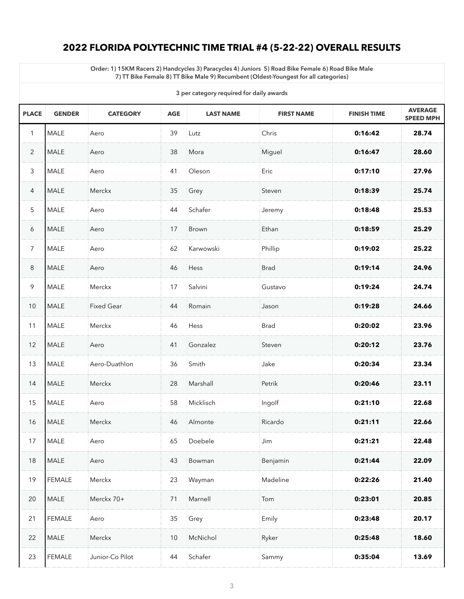# **2022 FLORIDA POLYTECHNIC TIME TRIAL #4 (5-22-22) OVERALL RESULTS**

**Order: 1) 15KM Racers 2) Handcycles 3) Paracycles 4) Juniors 5) Road Bike Female 6) Road Bike Male 7) TT Bike Female 8) TT Bike Male 9) Recumbent (Oldest-Youngest for all categories)**

**3 per category required for daily awards**

| 3 per category required for daily awards |               |                   |            |                  |                   |                    |                                    |
|------------------------------------------|---------------|-------------------|------------|------------------|-------------------|--------------------|------------------------------------|
| <b>PLACE</b>                             | <b>GENDER</b> | <b>CATEGORY</b>   | <b>AGE</b> | <b>LAST NAME</b> | <b>FIRST NAME</b> | <b>FINISH TIME</b> | <b>AVERAGE</b><br><b>SPEED MPH</b> |
| 1                                        | <b>MALE</b>   | Aero              | 39         | Lutz             | Chris             | 0:16:42            | 28.74                              |
| $\overline{2}$                           | <b>MALE</b>   | Aero              | 38         | Mora             | Miguel            | 0:16:47            | 28.60                              |
| $\mathfrak{Z}$                           | <b>MALE</b>   | Aero              | 41         | Oleson           | Eric              | 0:17:10            | 27.96                              |
| 4                                        | <b>MALE</b>   | Merckx            | 35         | Grey             | Steven            | 0:18:39            | 25.74                              |
| $5\overline{)}$                          | <b>MALE</b>   | Aero              | 44         | Schafer          | Jeremy            | 0:18:48            | 25.53                              |
| 6                                        | <b>MALE</b>   | Aero              | 17         | <b>Brown</b>     | Ethan             | 0:18:59            | 25.29                              |
| $\overline{7}$                           | <b>MALE</b>   | Aero              | 62         | Karwowski        | Phillip           | 0:19:02            | 25.22                              |
| 8                                        | <b>MALE</b>   | Aero              | 46         | Hess             | <b>Brad</b>       | 0:19:14            | 24.96                              |
| 9                                        | <b>MALE</b>   | Merckx            | 17         | Salvini          | Gustavo           | 0:19:24            | 24.74                              |
| 10                                       | MALE          | <b>Fixed Gear</b> | 44         | Romain           | Jason             | 0:19:28            | 24.66                              |
| 11                                       | <b>MALE</b>   | <b>Merckx</b>     | 46         | Hess             | <b>Brad</b>       | 0:20:02            | 23.96                              |
| 12                                       | <b>MALE</b>   | Aero              | 41         | Gonzalez         | Steven            | 0:20:12            | 23.76                              |
| 13                                       | <b>MALE</b>   | Aero-Duathlon     | 36         | Smith            | Jake              | 0:20:34            | 23.34                              |
| 14                                       | <b>MALE</b>   | Merckx            | 28         | $\sf{Marshall}$  | Petrik            | 0:20:46            | 23.11                              |
| 15                                       | <b>MALE</b>   | Aero              | 58         | Micklisch        | Ingolf            | 0:21:10            | 22.68                              |
| 16                                       | <b>MALE</b>   | Merckx            | 46         | Almonte          | Ricardo           | 0:21:11            | 22.66                              |
| 17                                       | <b>MALE</b>   | Aero              | 65         | Doebele          | Jim               | 0:21:21            | 22.48                              |
| 18                                       | <b>MALE</b>   | Aero              | 43         | Bowman           | Benjamin          | 0:21:44            | 22.09                              |
| 19                                       | FEMALE        | Merckx            | 23         | Wayman           | Madeline          | 0:22:26            | 21.40                              |
| 20                                       | <b>MALE</b>   | Merckx 70+        | 71         | Marnell          | Tom               | 0:23:01            | 20.85                              |
| 21                                       | <b>FEMALE</b> | Aero              | 35         | Grey             | Emily             | 0:23:48            | 20.17                              |
| 22                                       | <b>MALE</b>   | <b>Merckx</b>     | 10         | McNichol         | Ryker             | 0:25:48            | 18.60                              |
| 23                                       | <b>FEMALE</b> | Junior-Co Pilot   | 44         | Schafer          | Sammy             | 0:35:04            | 13.69                              |
|                                          |               |                   |            |                  |                   |                    |                                    |